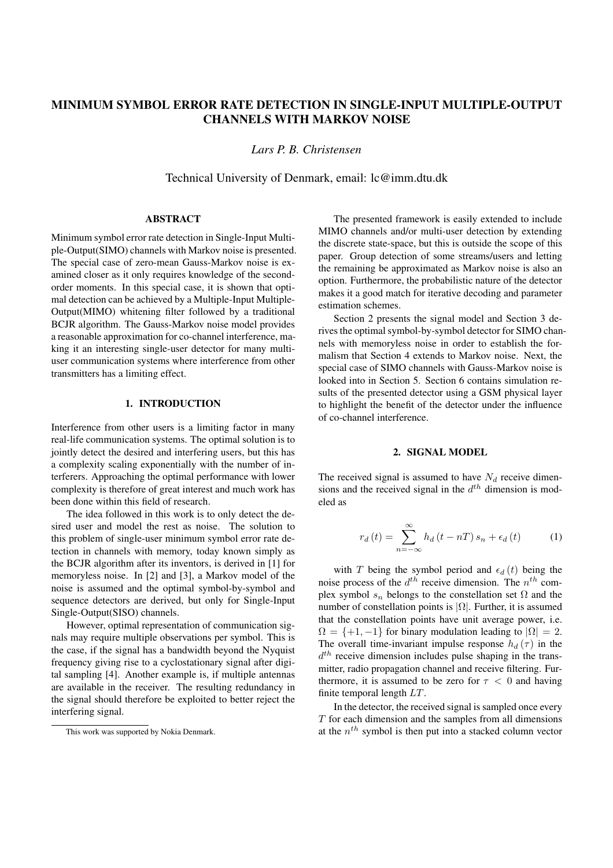# **MINIMUM SYMBOL ERROR RATE DETECTION IN SINGLE-INPUT MULTIPLE-OUTPUT CHANNELS WITH MARKOV NOISE**

*Lars P. B. Christensen*

Technical University of Denmark, email: lc@imm.dtu.dk

# **ABSTRACT**

Minimum symbol error rate detection in Single-Input Multiple-Output(SIMO) channels with Markov noise is presented. The special case of zero-mean Gauss-Markov noise is examined closer as it only requires knowledge of the secondorder moments. In this special case, it is shown that optimal detection can be achieved by a Multiple-Input Multiple-Output(MIMO) whitening filter followed by a traditional BCJR algorithm. The Gauss-Markov noise model provides a reasonable approximation for co-channel interference, making it an interesting single-user detector for many multiuser communication systems where interference from other transmitters has a limiting effect.

## **1. INTRODUCTION**

Interference from other users is a limiting factor in many real-life communication systems. The optimal solution is to jointly detect the desired and interfering users, but this has a complexity scaling exponentially with the number of interferers. Approaching the optimal performance with lower complexity is therefore of great interest and much work has been done within this field of research.

The idea followed in this work is to only detect the desired user and model the rest as noise. The solution to this problem of single-user minimum symbol error rate detection in channels with memory, today known simply as the BCJR algorithm after its inventors, is derived in [1] for memoryless noise. In [2] and [3], a Markov model of the noise is assumed and the optimal symbol-by-symbol and sequence detectors are derived, but only for Single-Input Single-Output(SISO) channels.

However, optimal representation of communication signals may require multiple observations per symbol. This is the case, if the signal has a bandwidth beyond the Nyquist frequency giving rise to a cyclostationary signal after digital sampling [4]. Another example is, if multiple antennas are available in the receiver. The resulting redundancy in the signal should therefore be exploited to better reject the interfering signal.

The presented framework is easily extended to include MIMO channels and/or multi-user detection by extending the discrete state-space, but this is outside the scope of this paper. Group detection of some streams/users and letting the remaining be approximated as Markov noise is also an option. Furthermore, the probabilistic nature of the detector makes it a good match for iterative decoding and parameter estimation schemes.

Section 2 presents the signal model and Section 3 derives the optimal symbol-by-symbol detector for SIMO channels with memoryless noise in order to establish the formalism that Section 4 extends to Markov noise. Next, the special case of SIMO channels with Gauss-Markov noise is looked into in Section 5. Section 6 contains simulation results of the presented detector using a GSM physical layer to highlight the benefit of the detector under the influence of co-channel interference.

## **2. SIGNAL MODEL**

The received signal is assumed to have  $N_d$  receive dimensions and the received signal in the  $d^{th}$  dimension is modeled as

$$
r_d(t) = \sum_{n = -\infty}^{\infty} h_d(t - nT) s_n + \epsilon_d(t)
$$
 (1)

with T being the symbol period and  $\epsilon_d(t)$  being the noise process of the  $d^{th}$  receive dimension. The  $n^{th}$  complex symbol  $s_n$  belongs to the constellation set  $\Omega$  and the number of constellation points is  $|\Omega|$ . Further, it is assumed that the constellation points have unit average power, i.e.  $\Omega = \{+1, -1\}$  for binary modulation leading to  $|\Omega| = 2$ . The overall time-invariant impulse response  $h_d(\tau)$  in the  $d<sup>th</sup>$  receive dimension includes pulse shaping in the transmitter, radio propagation channel and receive filtering. Furthermore, it is assumed to be zero for  $\tau < 0$  and having finite temporal length  $LT$ .

In the detector, the received signal is sampled once every  $T$  for each dimension and the samples from all dimensions at the  $n<sup>th</sup>$  symbol is then put into a stacked column vector

This work was supported by Nokia Denmark.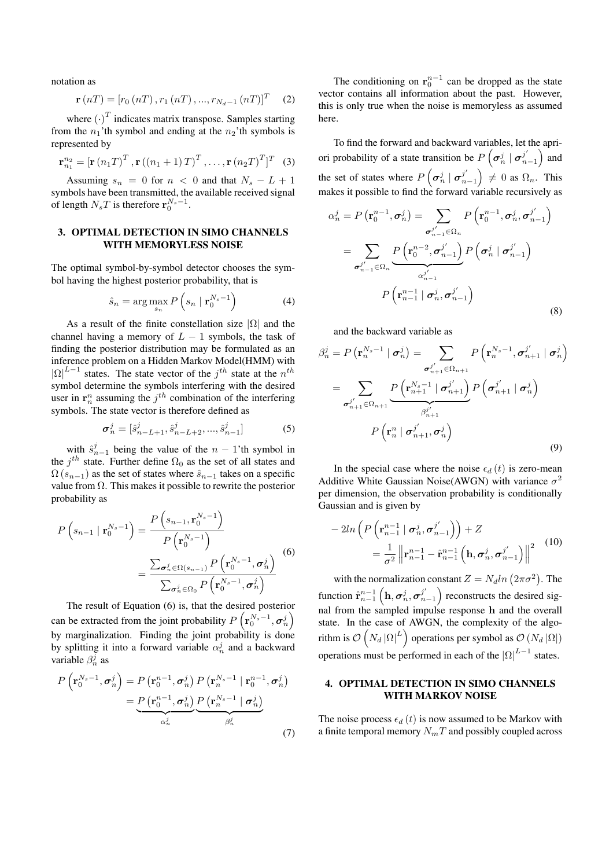notation as

$$
\mathbf{r}(nT) = [r_0(nT), r_1(nT), ..., r_{N_d-1}(nT)]^T \quad (2)
$$

where  $(\cdot)^T$  indicates matrix transpose. Samples starting<br>in the n<sub>a</sub>, the symbol and ending at the n<sub>a</sub>, the symbols is from the  $n_1$ 'th symbol and ending at the  $n_2$ 'th symbols is represented by

$$
\mathbf{r}_{n_1}^{n_2} = [\mathbf{r}(n_1 T)^T, \mathbf{r}((n_1 + 1) T)^T, \dots, \mathbf{r}(n_2 T)^T]^T
$$
 (3)

Assuming  $s_n = 0$  for  $n < 0$  and that  $N_s - L + 1$ symbols have been transmitted, the available received signal of length  $N_sT$  is therefore  $\mathbf{r}_0^{N_s-1}$ .

### **3. OPTIMAL DETECTION IN SIMO CHANNELS WITH MEMORYLESS NOISE**

The optimal symbol-by-symbol detector chooses the symbol having the highest posterior probability, that is

$$
\hat{s}_n = \arg\max_{s_n} P\left(s_n \mid \mathbf{r}_0^{N_s - 1}\right) \tag{4}
$$

As a result of the finite constellation size  $|\Omega|$  and the channel having a memory of  $L - 1$  symbols, the task of finding the posterior distribution may be formulated as an inference problem on a Hidden Markov Model(HMM) with  $|\Omega|^{L-1}$  states. The state vector of the j<sup>th</sup> state at the  $n^{th}$ <br>symbol determine the symbols interfering with the desired symbol determine the symbols interfering with the desired user in  $\mathbf{r}_n^n$  assuming the  $j^{th}$  combination of the interfering symbols. The state vector is therefore defined as

$$
\sigma_n^j = [\hat{s}_{n-L+1}^j, \hat{s}_{n-L+2}^j, ..., \hat{s}_{n-1}^j]
$$
 (5)

with  $\hat{s}_{n-1}^j$  being the value of the  $n-1$ 'th symbol in  $i^{th}$  state. Further define  $\Omega_2$  as the set of all states and the  $j<sup>th</sup>$  state. Further define  $\Omega_0$  as the set of all states and  $\Omega(s_{n-1})$  as the set of states where  $\hat{s}_{n-1}$  takes on a specific value from Ω. This makes it possible to rewrite the posterior probability as

$$
P\left(s_{n-1} \mid \mathbf{r}_{0}^{N_{s}-1}\right) = \frac{P\left(s_{n-1}, \mathbf{r}_{0}^{N_{s}-1}\right)}{P\left(\mathbf{r}_{0}^{N_{s}-1}\right)}
$$
\n
$$
= \frac{\sum_{\sigma_{n}^{j} \in \Omega(s_{n-1})} P\left(\mathbf{r}_{0}^{N_{s}-1}, \sigma_{n}^{j}\right)}{\sum_{\sigma_{n}^{j} \in \Omega_{0}} P\left(\mathbf{r}_{0}^{N_{s}-1}, \sigma_{n}^{j}\right)}
$$
\n(6)

The result of Equation (6) is, that the desired posterior can be extracted from the joint probability  $P\left(\mathbf{r}_{0}^{N_{s}-1}, \sigma_{n}^{j}\right)$ by marginalization. Finding the joint probability is done by splitting it into a forward variable  $\alpha_n^j$  and a backward variable  $\beta_n^j$  as

$$
P\left(\mathbf{r}_{0}^{N_{s}-1}, \boldsymbol{\sigma}_{n}^{j}\right) = P\left(\mathbf{r}_{0}^{n-1}, \boldsymbol{\sigma}_{n}^{j}\right) P\left(\mathbf{r}_{n}^{N_{s}-1} \mid \mathbf{r}_{0}^{n-1}, \boldsymbol{\sigma}_{n}^{j}\right)
$$

$$
= P\left(\mathbf{r}_{0}^{n-1}, \boldsymbol{\sigma}_{n}^{j}\right) P\left(\mathbf{r}_{n}^{N_{s}-1} \mid \boldsymbol{\sigma}_{n}^{j}\right)
$$

$$
\alpha_{n}^{j}
$$

$$
\beta_{n}^{j}
$$
(7)

The conditioning on  $r_0^{n-1}$  can be dropped as the state vector contains all information about the past. However, this is only true when the noise is memoryless as assumed here.

To find the forward and backward variables, let the apriori probability of a state transition be  $P\left(\sigma_n^j \mid \sigma_{n-1}^{j'}\right)$  and the set of states where  $P\left(\sigma_n^j \mid \sigma_{n-1}^{j'}\right) \neq 0$  as  $\Omega_n$ . This makes it possible to find the forward variable recursively as

$$
\alpha_n^j = P\left(\mathbf{r}_0^{n-1}, \sigma_n^j\right) = \sum_{\substack{\sigma_{n-1}^{j'} \in \Omega_n}} P\left(\mathbf{r}_0^{n-1}, \sigma_n^j, \sigma_{n-1}^{j'}\right)
$$

$$
= \sum_{\substack{\sigma_{n-1}^{j'} \in \Omega_n}} \underbrace{P\left(\mathbf{r}_0^{n-2}, \sigma_{n-1}^{j'}\right)}_{\alpha_{n-1}^{j'}}
$$

$$
P\left(\mathbf{r}_{n-1}^{n-1} \mid \sigma_n^j, \sigma_{n-1}^{j'}\right)
$$
(8)

and the backward variable as

$$
\beta_n^j = P\left(\mathbf{r}_n^{N_s-1} \mid \boldsymbol{\sigma}_n^j\right) = \sum_{\substack{\boldsymbol{\sigma}_{n+1}^j \in \Omega_{n+1} \\ \boldsymbol{\sigma}_{n+1}^j \in \Omega_{n+1}}} P\left(\mathbf{r}_n^{N_s-1}, \boldsymbol{\sigma}_{n+1}^j \mid \boldsymbol{\sigma}_n^j\right)
$$

$$
= \sum_{\substack{\boldsymbol{\sigma}_{n+1}^j \in \Omega_{n+1} \\ \beta_{n+1}^j}} P\left(\boldsymbol{\sigma}_{n+1}^j \mid \boldsymbol{\sigma}_n^j\right)
$$

$$
P\left(\mathbf{r}_n^n \mid \boldsymbol{\sigma}_{n+1}^j, \boldsymbol{\sigma}_n^j\right)
$$
(9)

In the special case where the noise  $\epsilon_d$  (t) is zero-mean Additive White Gaussian Noise(AWGN) with variance  $\sigma^2$ per dimension, the observation probability is conditionally Gaussian and is given by

$$
-2ln\left(P\left(\mathbf{r}_{n-1}^{n-1} \mid \boldsymbol{\sigma}_n^j, \boldsymbol{\sigma}_{n-1}^{j'}\right)\right) + Z
$$
  

$$
= \frac{1}{\sigma^2} \left\| \mathbf{r}_{n-1}^{n-1} - \hat{\mathbf{r}}_{n-1}^{n-1} \left(\mathbf{h}, \boldsymbol{\sigma}_n^j, \boldsymbol{\sigma}_{n-1}^{j'}\right) \right\|^2
$$
(10)

with the normalization constant  $Z = N_d ln (2\pi \sigma^2)$ . The function  $\hat{\mathbf{r}}_{n-1}^{n-1}$   $\left(\mathbf{h}, \sigma_n^j, \sigma_{n-1}^{j'}\right)$  reconstructs the desired signal from the sampled impulse response **h** and the overall state. In the case of AWGN, the complexity of the algorithm is  $\mathcal{O}\left(N_d |\Omega|^L\right)$  operations per symbol as  $\mathcal{O}\left(N_d |\Omega|\right)$ operations must be performed in each of the  $|\Omega|^{L-1}$  states.

# **4. OPTIMAL DETECTION IN SIMO CHANNELS WITH MARKOV NOISE**

The noise process  $\epsilon_d$  (t) is now assumed to be Markov with a finite temporal memory  $N_mT$  and possibly coupled across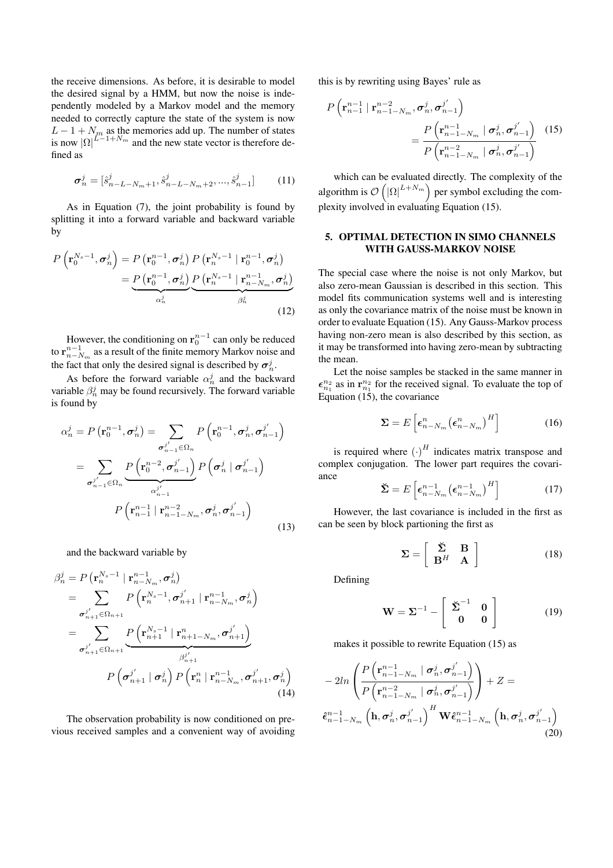the receive dimensions. As before, it is desirable to model the desired signal by a HMM, but now the noise is independently modeled by a Markov model and the memory needed to correctly capture the state of the system is now  $L - 1 + N_m$  as the memories add up. The number of states<br>is now  $|O|^{L-1+N_m}$  and the new state vector is therefore deis now  $|\Omega|^{L-1+N_m}$  and the new state vector is therefore defined as

$$
\sigma_n^j = [\hat{s}_{n-L-N_m+1}^j, \hat{s}_{n-L-N_m+2}^j, ..., \hat{s}_{n-1}^j]
$$
(11)

As in Equation (7), the joint probability is found by splitting it into a forward variable and backward variable by

$$
P\left(\mathbf{r}_{0}^{N_{s}-1}, \boldsymbol{\sigma}_{n}^{j}\right) = P\left(\mathbf{r}_{0}^{n-1}, \boldsymbol{\sigma}_{n}^{j}\right) P\left(\mathbf{r}_{n}^{N_{s}-1} \mid \mathbf{r}_{0}^{n-1}, \boldsymbol{\sigma}_{n}^{j}\right)
$$

$$
= P\left(\mathbf{r}_{0}^{n-1}, \boldsymbol{\sigma}_{n}^{j}\right) P\left(\mathbf{r}_{n}^{N_{s}-1} \mid \mathbf{r}_{n-N_{m}}^{n-1}, \boldsymbol{\sigma}_{n}^{j}\right)
$$

$$
\alpha_{n}^{j}
$$
(12)

However, the conditioning on  $\mathbf{r}_0^{n-1}$  can only be reduced to  $\mathbf{r}_{n-N_m}^{n-1}$  as a result of the finite memory Markov noise and the fact that only the desired signal is described by  $\sigma_n^j$ .

As before the forward variable  $\alpha_n^j$  and the backward variable  $\beta_n^j$  may be found recursively. The forward variable is found by

$$
\alpha_n^j = P\left(\mathbf{r}_0^{n-1}, \sigma_n^j\right) = \sum_{\sigma_{n-1}^{j'} \in \Omega_n} P\left(\mathbf{r}_0^{n-1}, \sigma_n^j, \sigma_{n-1}^{j'}\right)
$$

$$
= \sum_{\sigma_{n-1}^{j'} \in \Omega_n} \underbrace{P\left(\mathbf{r}_0^{n-2}, \sigma_{n-1}^{j'}\right)}_{\alpha_{n-1}^{j'}}
$$

$$
P\left(\mathbf{r}_{n-1}^{n-1} \mid \mathbf{r}_{n-1-N_m}^{n-2}, \sigma_n^j, \sigma_{n-1}^{j'}\right)
$$
(13)

and the backward variable by

$$
\beta_n^j = P\left(\mathbf{r}_n^{N_s-1} \mid \mathbf{r}_{n-N_m}^{n-1}, \sigma_n^j\right)
$$
\n
$$
= \sum_{\sigma_{n+1}^j \in \Omega_{n+1}^j} P\left(\mathbf{r}_n^{N_s-1}, \sigma_{n+1}^{j'} \mid \mathbf{r}_{n-N_m}^{n-1}, \sigma_n^j\right)
$$
\n
$$
= \sum_{\sigma_{n+1}^j \in \Omega_{n+1}^j} \underbrace{P\left(\mathbf{r}_{n+1}^{N_s-1} \mid \mathbf{r}_{n+1-N_m}^n, \sigma_{n+1}^{j'}\right)}_{\beta_{n+1}^j}
$$
\n
$$
P\left(\sigma_{n+1}^{j'} \mid \sigma_n^j\right) P\left(\mathbf{r}_n^{n} \mid \mathbf{r}_{n-N_m}^{n-1}, \sigma_{n+1}^{j'}, \sigma_n^j\right)
$$
\n(14)

The observation probability is now conditioned on previous received samples and a convenient way of avoiding this is by rewriting using Bayes' rule as

$$
P\left(\mathbf{r}_{n-1}^{n-1} \mid \mathbf{r}_{n-1-N_m}^{n-2}, \sigma_n^j, \sigma_{n-1}^j\right)
$$
  
= 
$$
\frac{P\left(\mathbf{r}_{n-1-N_m}^{n-1} \mid \sigma_n^j, \sigma_{n-1}^j\right)}{P\left(\mathbf{r}_{n-1-N_m}^{n-2} \mid \sigma_n^j, \sigma_{n-1}^j\right)}
$$
(15)

which can be evaluated directly. The complexity of the algorithm is  $\mathcal{O}\left(|\Omega|^{L+N_m}\right)$  per symbol excluding the complexity involved in evaluating Equation (15).

# **5. OPTIMAL DETECTION IN SIMO CHANNELS WITH GAUSS-MARKOV NOISE**

The special case where the noise is not only Markov, but also zero-mean Gaussian is described in this section. This model fits communication systems well and is interesting as only the covariance matrix of the noise must be known in order to evaluate Equation (15). Any Gauss-Markov process having non-zero mean is also described by this section, as it may be transformed into having zero-mean by subtracting the mean.

Let the noise samples be stacked in the same manner in  $\epsilon_{n_1}^{n_2}$  as in  $\mathbf{r}_{n_1}^{n_2}$  for the received signal. To evaluate the top of Equation (15), the covariance

$$
\mathbf{\Sigma} = E\left[\boldsymbol{\epsilon}_{n-N_m}^n \left(\boldsymbol{\epsilon}_{n-N_m}^n\right)^H\right]
$$
 (16)

is required where  $(\cdot)^H$  indicates matrix transpose and<br>index conjugation. The lower part requires the covaricomplex conjugation. The lower part requires the covariance

$$
\breve{\mathbf{\Sigma}} = E\left[\epsilon_{n-N_m}^{n-1} \left(\epsilon_{n-N_m}^{n-1}\right)^H\right] \tag{17}
$$

However, the last covariance is included in the first as can be seen by block partioning the first as

$$
\Sigma = \left[ \begin{array}{cc} \breve{\Sigma} & B \\ B^H & A \end{array} \right] \tag{18}
$$

Defining

$$
\mathbf{W} = \Sigma^{-1} - \begin{bmatrix} \check{\Sigma}^{-1} & \mathbf{0} \\ \mathbf{0} & \mathbf{0} \end{bmatrix}
$$
 (19)

makes it possible to rewrite Equation (15) as

$$
-2ln\left(\frac{P\left(\mathbf{r}_{n-1-N_m}^{n-1} \mid \sigma_n^j, \sigma_{n-1}^{j'}\right)}{P\left(\mathbf{r}_{n-1-N_m}^{n-2} \mid \sigma_n^j, \sigma_{n-1}^{j'}\right)}\right) + Z = \hat{\epsilon}_{n-1-N_m}^{n-1}\left(\mathbf{h}, \sigma_n^j, \sigma_{n-1}^{j'}\right)^H \mathbf{W} \hat{\epsilon}_{n-1-N_m}^{n-1}\left(\mathbf{h}, \sigma_n^j, \sigma_{n-1}^{j'}\right)
$$
\n(20)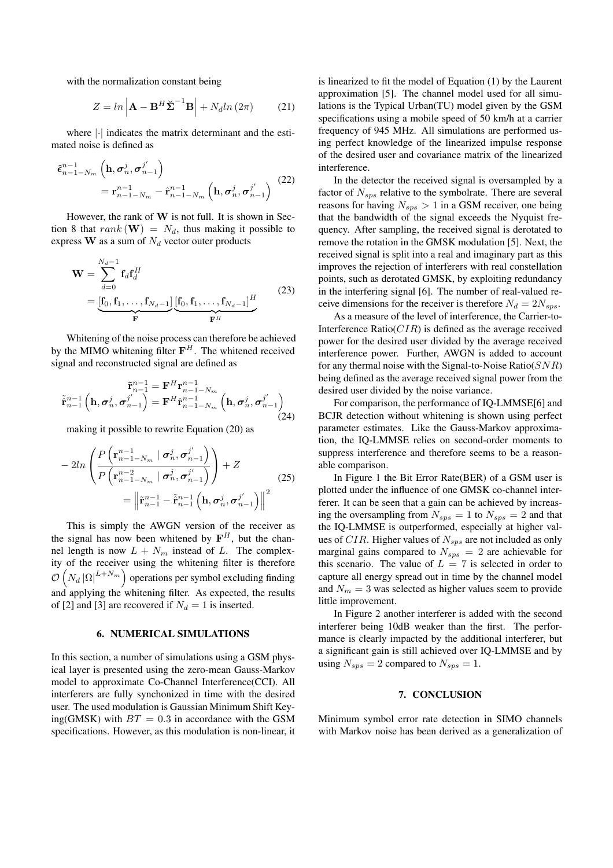with the normalization constant being

$$
Z = \ln \left| \mathbf{A} - \mathbf{B}^H \tilde{\mathbf{\Sigma}}^{-1} \mathbf{B} \right| + N_d \ln \left( 2\pi \right) \tag{21}
$$

where |·| indicates the matrix determinant and the estimated noise is defined as

$$
\hat{\boldsymbol{\epsilon}}_{n-1-N_m}^{n-1} \left(\mathbf{h}, \boldsymbol{\sigma}_n^j, \boldsymbol{\sigma}_{n-1}^{j'}\right)
$$
\n
$$
= \mathbf{r}_{n-1-N_m}^{n-1} - \hat{\mathbf{r}}_{n-1-N_m}^{n-1} \left(\mathbf{h}, \boldsymbol{\sigma}_n^j, \boldsymbol{\sigma}_{n-1}^{j'}\right)
$$
\n(22)

However, the rank of **W** is not full. It is shown in Section 8 that  $rank(\mathbf{W}) = N_d$ , thus making it possible to express  $\mathbf{W}$  as a sum of  $N_d$  vector outer products

$$
\mathbf{W} = \sum_{d=0}^{N_d - 1} \mathbf{f}_d \mathbf{f}_d^H
$$
  
= 
$$
\underbrace{[\mathbf{f}_0, \mathbf{f}_1, \dots, \mathbf{f}_{N_d - 1}]}_{\mathbf{F}} \underbrace{[\mathbf{f}_0, \mathbf{f}_1, \dots, \mathbf{f}_{N_d - 1}]}_{\mathbf{F}^H}
$$
(23)

Whitening of the noise process can therefore be achieved by the MIMO whitening filter  $F<sup>H</sup>$ . The whitened received signal and reconstructed signal are defined as

$$
\tilde{\mathbf{r}}_{n-1}^{n-1} = \mathbf{F}^H \mathbf{r}_{n-1-N_m}^{n-1}
$$
\n
$$
\tilde{\mathbf{r}}_{n-1}^{n-1} \left( \mathbf{h}, \sigma_n^j, \sigma_{n-1}^{j'} \right) = \mathbf{F}^H \hat{\mathbf{r}}_{n-1-N_m}^{n-1} \left( \mathbf{h}, \sigma_n^j, \sigma_{n-1}^{j'} \right)
$$
\n(24)

making it possible to rewrite Equation (20) as

$$
-2ln\left(\frac{P\left(\mathbf{r}_{n-1-N_m}^{n-1} \mid \sigma_n^j, \sigma_{n-1}^{j'}\right)}{P\left(\mathbf{r}_{n-1-N_m}^{n-2} \mid \sigma_n^j, \sigma_{n-1}^{j'}\right)}\right) + Z
$$
\n
$$
= \left\|\tilde{\mathbf{r}}_{n-1}^{n-1} - \tilde{\mathbf{r}}_{n-1}^{n-1} \left(\mathbf{h}, \sigma_n^j, \sigma_{n-1}^{j'}\right)\right\|^2
$$
\n(25)

This is simply the AWGN version of the receiver as the signal has now been whitened by  $F^H$ , but the channel length is now  $L + N_m$  instead of L. The complexity of the receiver using the whitening filter is therefore  $\mathcal{O}\left(N_d |\Omega|^{L+N_m}\right)$  operations per symbol excluding finding and applying the whitening filter. As expected, the results of [2] and [3] are recovered if  $N_d = 1$  is inserted.

#### **6. NUMERICAL SIMULATIONS**

In this section, a number of simulations using a GSM physical layer is presented using the zero-mean Gauss-Markov model to approximate Co-Channel Interference(CCI). All interferers are fully synchonized in time with the desired user. The used modulation is Gaussian Minimum Shift Keying(GMSK) with  $BT = 0.3$  in accordance with the GSM specifications. However, as this modulation is non-linear, it is linearized to fit the model of Equation (1) by the Laurent approximation [5]. The channel model used for all simulations is the Typical Urban(TU) model given by the GSM specifications using a mobile speed of 50 km/h at a carrier frequency of 945 MHz. All simulations are performed using perfect knowledge of the linearized impulse response of the desired user and covariance matrix of the linearized interference.

In the detector the received signal is oversampled by a factor of  $N_{sps}$  relative to the symbolrate. There are several reasons for having  $N_{sps} > 1$  in a GSM receiver, one being that the bandwidth of the signal exceeds the Nyquist frequency. After sampling, the received signal is derotated to remove the rotation in the GMSK modulation [5]. Next, the received signal is split into a real and imaginary part as this improves the rejection of interferers with real constellation points, such as derotated GMSK, by exploiting redundancy in the interfering signal [6]. The number of real-valued receive dimensions for the receiver is therefore  $N_d = 2N_{sps}$ .

As a measure of the level of interference, the Carrier-to-Interference Ratio( $CIR$ ) is defined as the average received power for the desired user divided by the average received interference power. Further, AWGN is added to account for any thermal noise with the Signal-to-Noise Ratio( $SNR$ ) being defined as the average received signal power from the desired user divided by the noise variance.

For comparison, the performance of IQ-LMMSE[6] and BCJR detection without whitening is shown using perfect parameter estimates. Like the Gauss-Markov approximation, the IQ-LMMSE relies on second-order moments to suppress interference and therefore seems to be a reasonable comparison.

In Figure 1 the Bit Error Rate(BER) of a GSM user is plotted under the influence of one GMSK co-channel interferer. It can be seen that a gain can be achieved by increasing the oversampling from  $N_{sps} = 1$  to  $N_{sps} = 2$  and that the IQ-LMMSE is outperformed, especially at higher values of  $CIR$ . Higher values of  $N_{sps}$  are not included as only marginal gains compared to  $N_{sps} = 2$  are achievable for this scenario. The value of  $L = 7$  is selected in order to capture all energy spread out in time by the channel model and  $N_m = 3$  was selected as higher values seem to provide little improvement.

In Figure 2 another interferer is added with the second interferer being 10dB weaker than the first. The performance is clearly impacted by the additional interferer, but a significant gain is still achieved over IQ-LMMSE and by using  $N_{sps} = 2$  compared to  $N_{sps} = 1$ .

# **7. CONCLUSION**

Minimum symbol error rate detection in SIMO channels with Markov noise has been derived as a generalization of